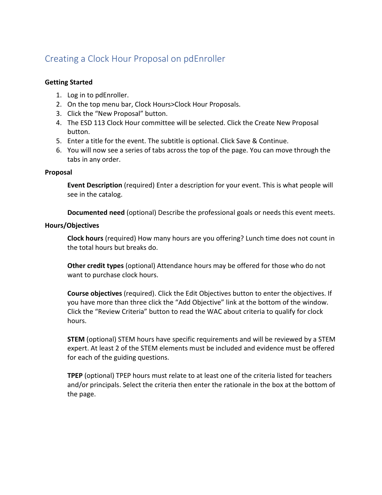# Creating a Clock Hour Proposal on pdEnroller

# **Getting Started**

- 1. Log in to pdEnroller.
- 2. On the top menu bar, Clock Hours>Clock Hour Proposals.
- 3. Click the "New Proposal" button.
- 4. The ESD 113 Clock Hour committee will be selected. Click the Create New Proposal button.
- 5. Enter a title for the event. The subtitle is optional. Click Save & Continue.
- 6. You will now see a series of tabs across the top of the page. You can move through the tabs in any order.

## **Proposal**

**Event Description** (required) Enter a description for your event. This is what people will see in the catalog.

**Documented need** (optional) Describe the professional goals or needs this event meets.

## **Hours/Objectives**

**Clock hours** (required) How many hours are you offering? Lunch time does not count in the total hours but breaks do.

**Other credit types** (optional) Attendance hours may be offered for those who do not want to purchase clock hours.

**Course objectives** (required). Click the Edit Objectives button to enter the objectives. If you have more than three click the "Add Objective" link at the bottom of the window. Click the "Review Criteria" button to read the WAC about criteria to qualify for clock hours.

**STEM** (optional) STEM hours have specific requirements and will be reviewed by a STEM expert. At least 2 of the STEM elements must be included and evidence must be offered for each of the guiding questions.

**TPEP** (optional) TPEP hours must relate to at least one of the criteria listed for teachers and/or principals. Select the criteria then enter the rationale in the box at the bottom of the page.